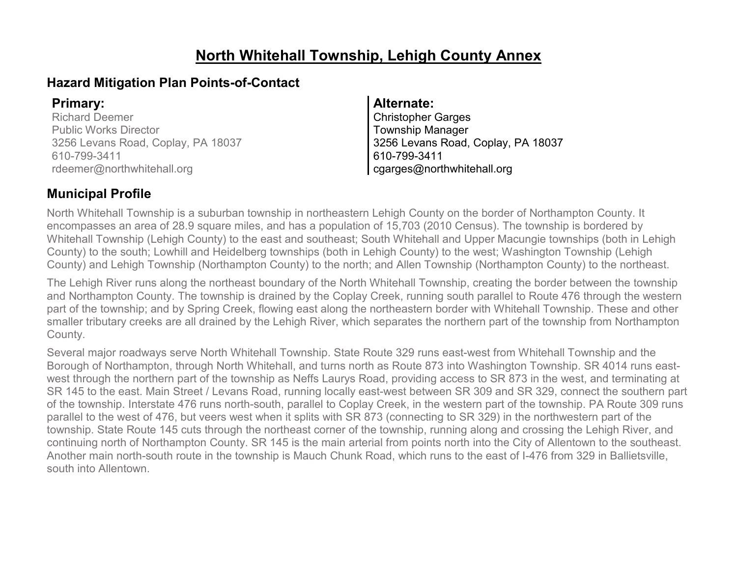# **North Whitehall Township, Lehigh County Annex**

### **Hazard Mitigation Plan Points-of-Contact**

Richard Deemer Public Works Director 3256 Levans Road, Coplay, PA 18037 610-799-3411 rdeemer@northwhitehall.org

### **Primary: Alternate:**

Christopher Garges Township Manager 3256 Levans Road, Coplay, PA 18037 610-799-3411 cgarges@northwhitehall.org

## **Municipal Profile**

North Whitehall Township is a suburban township in northeastern Lehigh County on the border of Northampton County. It encompasses an area of 28.9 square miles, and has a population of 15,703 (2010 Census). The township is bordered by Whitehall Township (Lehigh County) to the east and southeast; South Whitehall and Upper Macungie townships (both in Lehigh County) to the south; Lowhill and Heidelberg townships (both in Lehigh County) to the west; Washington Township (Lehigh County) and Lehigh Township (Northampton County) to the north; and Allen Township (Northampton County) to the northeast.

The Lehigh River runs along the northeast boundary of the North Whitehall Township, creating the border between the township and Northampton County. The township is drained by the Coplay Creek, running south parallel to Route 476 through the western part of the township; and by Spring Creek, flowing east along the northeastern border with Whitehall Township. These and other smaller tributary creeks are all drained by the Lehigh River, which separates the northern part of the township from Northampton County.

Several major roadways serve North Whitehall Township. State Route 329 runs east-west from Whitehall Township and the Borough of Northampton, through North Whitehall, and turns north as Route 873 into Washington Township. SR 4014 runs eastwest through the northern part of the township as Neffs Laurys Road, providing access to SR 873 in the west, and terminating at SR 145 to the east. Main Street / Levans Road, running locally east-west between SR 309 and SR 329, connect the southern part of the township. Interstate 476 runs north-south, parallel to Coplay Creek, in the western part of the township. PA Route 309 runs parallel to the west of 476, but veers west when it splits with SR 873 (connecting to SR 329) in the northwestern part of the township. State Route 145 cuts through the northeast corner of the township, running along and crossing the Lehigh River, and continuing north of Northampton County. SR 145 is the main arterial from points north into the City of Allentown to the southeast. Another main north-south route in the township is Mauch Chunk Road, which runs to the east of I-476 from 329 in Ballietsville, south into Allentown.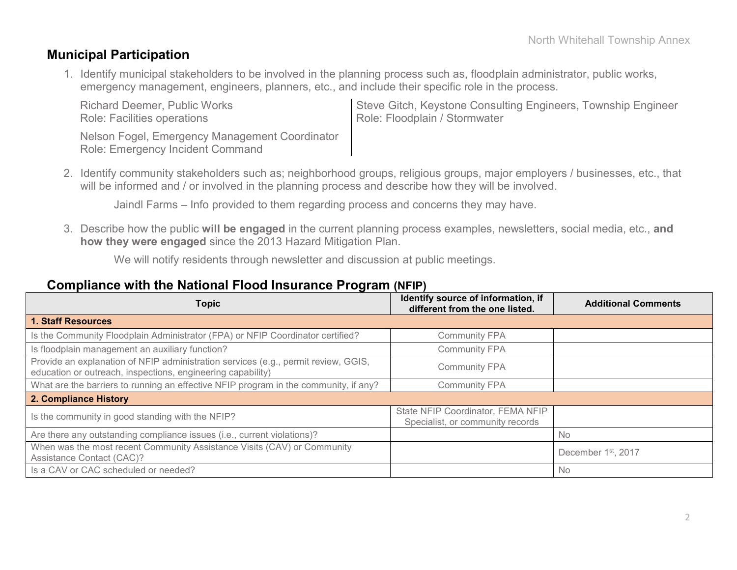### **Municipal Participation**

Role: Emergency Incident Command

1. Identify municipal stakeholders to be involved in the planning process such as, floodplain administrator, public works, emergency management, engineers, planners, etc., and include their specific role in the process.

Richard Deemer, Public Works Role: Facilities operations Steve Gitch, Keystone Consulting Engineers, Township Engineer Role: Floodplain / Stormwater Nelson Fogel, Emergency Management Coordinator

2. Identify community stakeholders such as; neighborhood groups, religious groups, major employers / businesses, etc., that will be informed and / or involved in the planning process and describe how they will be involved.

Jaindl Farms – Info provided to them regarding process and concerns they may have.

3. Describe how the public **will be engaged** in the current planning process examples, newsletters, social media, etc., **and how they were engaged** since the 2013 Hazard Mitigation Plan.

We will notify residents through newsletter and discussion at public meetings.

### **Compliance with the National Flood Insurance Program (NFIP)**

| <b>Topic</b>                                                                                                                                      | Identify source of information, if<br>different from the one listed.  | <b>Additional Comments</b>      |
|---------------------------------------------------------------------------------------------------------------------------------------------------|-----------------------------------------------------------------------|---------------------------------|
| <b>1. Staff Resources</b>                                                                                                                         |                                                                       |                                 |
| Is the Community Floodplain Administrator (FPA) or NFIP Coordinator certified?                                                                    | <b>Community FPA</b>                                                  |                                 |
| Is floodplain management an auxiliary function?                                                                                                   | <b>Community FPA</b>                                                  |                                 |
| Provide an explanation of NFIP administration services (e.g., permit review, GGIS,<br>education or outreach, inspections, engineering capability) | <b>Community FPA</b>                                                  |                                 |
| What are the barriers to running an effective NFIP program in the community, if any?                                                              | <b>Community FPA</b>                                                  |                                 |
| 2. Compliance History                                                                                                                             |                                                                       |                                 |
| Is the community in good standing with the NFIP?                                                                                                  | State NFIP Coordinator, FEMA NFIP<br>Specialist, or community records |                                 |
| Are there any outstanding compliance issues (i.e., current violations)?                                                                           |                                                                       | No.                             |
| When was the most recent Community Assistance Visits (CAV) or Community<br>Assistance Contact (CAC)?                                              |                                                                       | December 1 <sup>st</sup> , 2017 |
| Is a CAV or CAC scheduled or needed?                                                                                                              |                                                                       | <b>No</b>                       |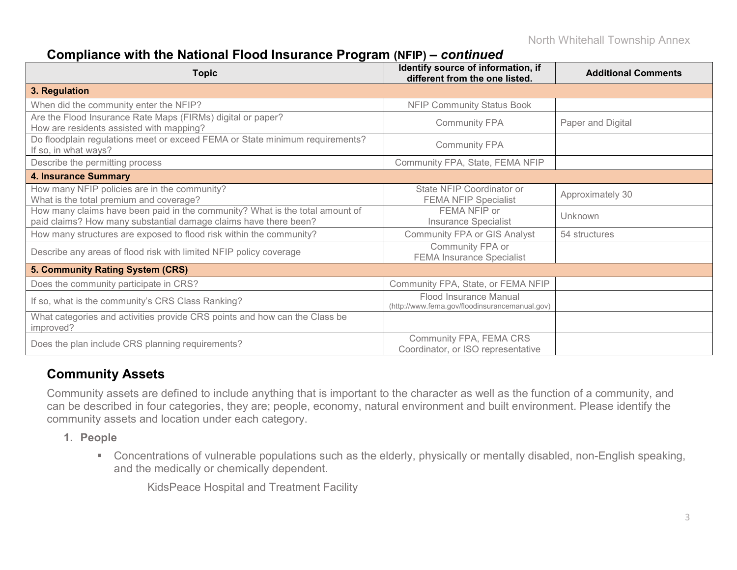# **Compliance with the National Flood Insurance Program (NFIP) –** *continued*

| <b>Topic</b>                                                                                                                                     | Identify source of information, if<br>different from the one listed.     | <b>Additional Comments</b> |
|--------------------------------------------------------------------------------------------------------------------------------------------------|--------------------------------------------------------------------------|----------------------------|
| 3. Regulation                                                                                                                                    |                                                                          |                            |
| When did the community enter the NFIP?                                                                                                           | <b>NFIP Community Status Book</b>                                        |                            |
| Are the Flood Insurance Rate Maps (FIRMs) digital or paper?<br>How are residents assisted with mapping?                                          | <b>Community FPA</b>                                                     | Paper and Digital          |
| Do floodplain regulations meet or exceed FEMA or State minimum requirements?<br>If so, in what ways?                                             | <b>Community FPA</b>                                                     |                            |
| Describe the permitting process                                                                                                                  | Community FPA, State, FEMA NFIP                                          |                            |
| <b>4. Insurance Summary</b>                                                                                                                      |                                                                          |                            |
| How many NFIP policies are in the community?<br>What is the total premium and coverage?                                                          | State NFIP Coordinator or<br><b>FEMA NFIP Specialist</b>                 | Approximately 30           |
| How many claims have been paid in the community? What is the total amount of<br>paid claims? How many substantial damage claims have there been? | FEMA NFIP or<br><b>Insurance Specialist</b>                              | Unknown                    |
| How many structures are exposed to flood risk within the community?                                                                              | <b>Community FPA or GIS Analyst</b>                                      | 54 structures              |
| Describe any areas of flood risk with limited NFIP policy coverage                                                                               | Community FPA or<br><b>FEMA Insurance Specialist</b>                     |                            |
| 5. Community Rating System (CRS)                                                                                                                 |                                                                          |                            |
| Does the community participate in CRS?                                                                                                           | Community FPA, State, or FEMA NFIP                                       |                            |
| If so, what is the community's CRS Class Ranking?                                                                                                | Flood Insurance Manual<br>(http://www.fema.gov/floodinsurancemanual.gov) |                            |
| What categories and activities provide CRS points and how can the Class be<br>improved?                                                          |                                                                          |                            |
| Does the plan include CRS planning requirements?                                                                                                 | Community FPA, FEMA CRS<br>Coordinator, or ISO representative            |                            |

### **Community Assets**

Community assets are defined to include anything that is important to the character as well as the function of a community, and can be described in four categories, they are; people, economy, natural environment and built environment. Please identify the community assets and location under each category.

- **1. People**
	- Concentrations of vulnerable populations such as the elderly, physically or mentally disabled, non-English speaking, and the medically or chemically dependent.

KidsPeace Hospital and Treatment Facility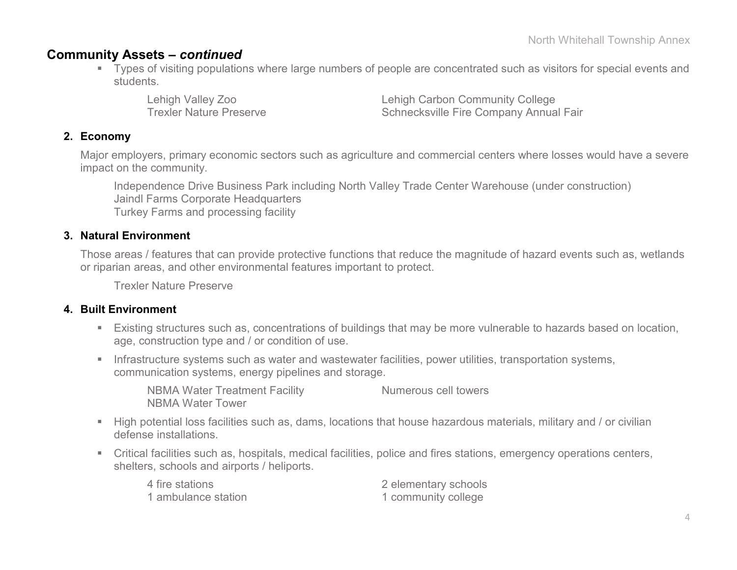### **Community Assets –** *continued*

 Types of visiting populations where large numbers of people are concentrated such as visitors for special events and students.

Lehigh Valley Zoo Lehigh Carbon Community College Trexler Nature Preserve **Schnecksville Fire Company Annual Fair** 

### **2. Economy**

Major employers, primary economic sectors such as agriculture and commercial centers where losses would have a severe impact on the community.

Independence Drive Business Park including North Valley Trade Center Warehouse (under construction) Jaindl Farms Corporate Headquarters Turkey Farms and processing facility

### **3. Natural Environment**

Those areas / features that can provide protective functions that reduce the magnitude of hazard events such as, wetlands or riparian areas, and other environmental features important to protect.

Trexler Nature Preserve

#### **4. Built Environment**

- Existing structures such as, concentrations of buildings that may be more vulnerable to hazards based on location, age, construction type and / or condition of use.
- **Infrastructure systems such as water and wastewater facilities, power utilities, transportation systems,** communication systems, energy pipelines and storage.

NBMA Water Treatment Facility Numerous cell towers NBMA Water Tower

- High potential loss facilities such as, dams, locations that house hazardous materials, military and / or civilian defense installations.
- Critical facilities such as, hospitals, medical facilities, police and fires stations, emergency operations centers, shelters, schools and airports / heliports.

| 4 fire stations     | 2 elementary schools |
|---------------------|----------------------|
| 1 ambulance station | 1 community college  |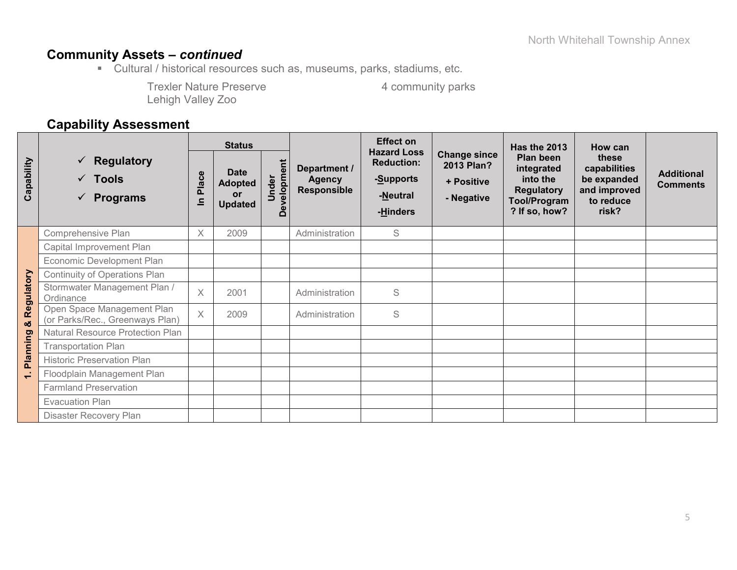# **Community Assets –** *continued*

Cultural / historical resources such as, museums, parks, stadiums, etc.

Trexler Nature Preserve 4 community parks Lehigh Valley Zoo

### **Capability Assessment**

|            |                                                                           | <b>Status</b>           |                                                       |                                                |                                                     | <b>Effect on</b>                                                             |                                                               | <b>Has the 2013</b>                                                                              | How can                                                                    |                                      |
|------------|---------------------------------------------------------------------------|-------------------------|-------------------------------------------------------|------------------------------------------------|-----------------------------------------------------|------------------------------------------------------------------------------|---------------------------------------------------------------|--------------------------------------------------------------------------------------------------|----------------------------------------------------------------------------|--------------------------------------|
| Capability | Regulatory<br>$\checkmark$<br>$\checkmark$ Tools<br>$\checkmark$ Programs | Place<br>르              | <b>Date</b><br><b>Adopted</b><br>or<br><b>Updated</b> | evelopment<br>Under<br>$\overline{\mathbf{C}}$ | Department /<br><b>Agency</b><br><b>Responsible</b> | <b>Hazard Loss</b><br><b>Reduction:</b><br>-Supports<br>-Neutral<br>-Hinders | <b>Change since</b><br>2013 Plan?<br>+ Positive<br>- Negative | Plan been<br>integrated<br>into the<br><b>Regulatory</b><br><b>Tool/Program</b><br>? If so, how? | these<br>capabilities<br>be expanded<br>and improved<br>to reduce<br>risk? | <b>Additional</b><br><b>Comments</b> |
|            | Comprehensive Plan                                                        | $\times$                | 2009                                                  |                                                | Administration                                      | S                                                                            |                                                               |                                                                                                  |                                                                            |                                      |
|            | Capital Improvement Plan                                                  |                         |                                                       |                                                |                                                     |                                                                              |                                                               |                                                                                                  |                                                                            |                                      |
|            | Economic Development Plan                                                 |                         |                                                       |                                                |                                                     |                                                                              |                                                               |                                                                                                  |                                                                            |                                      |
|            | <b>Continuity of Operations Plan</b>                                      |                         |                                                       |                                                |                                                     |                                                                              |                                                               |                                                                                                  |                                                                            |                                      |
| Regulatory | Stormwater Management Plan /<br>Ordinance                                 | $\times$                | 2001                                                  |                                                | Administration                                      | S                                                                            |                                                               |                                                                                                  |                                                                            |                                      |
| ೲ          | Open Space Management Plan<br>(or Parks/Rec., Greenways Plan)             | $\overline{\mathsf{X}}$ | 2009                                                  |                                                | Administration                                      | S                                                                            |                                                               |                                                                                                  |                                                                            |                                      |
|            | <b>Natural Resource Protection Plan</b>                                   |                         |                                                       |                                                |                                                     |                                                                              |                                                               |                                                                                                  |                                                                            |                                      |
| Planning   | <b>Transportation Plan</b>                                                |                         |                                                       |                                                |                                                     |                                                                              |                                                               |                                                                                                  |                                                                            |                                      |
|            | <b>Historic Preservation Plan</b>                                         |                         |                                                       |                                                |                                                     |                                                                              |                                                               |                                                                                                  |                                                                            |                                      |
| ÷          | Floodplain Management Plan                                                |                         |                                                       |                                                |                                                     |                                                                              |                                                               |                                                                                                  |                                                                            |                                      |
|            | <b>Farmland Preservation</b>                                              |                         |                                                       |                                                |                                                     |                                                                              |                                                               |                                                                                                  |                                                                            |                                      |
|            | <b>Evacuation Plan</b>                                                    |                         |                                                       |                                                |                                                     |                                                                              |                                                               |                                                                                                  |                                                                            |                                      |
|            | Disaster Recovery Plan                                                    |                         |                                                       |                                                |                                                     |                                                                              |                                                               |                                                                                                  |                                                                            |                                      |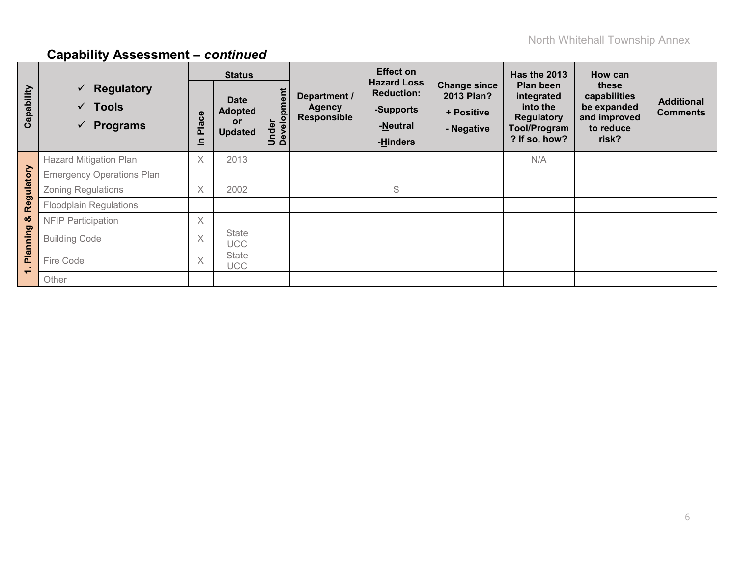|                          |                                                                                  |                   | <b>Status</b>                                                |                      |                                                     | <b>Effect on</b>                                                             |                                                               | Has the 2013                                                                                     | How can                                                                    |                                      |
|--------------------------|----------------------------------------------------------------------------------|-------------------|--------------------------------------------------------------|----------------------|-----------------------------------------------------|------------------------------------------------------------------------------|---------------------------------------------------------------|--------------------------------------------------------------------------------------------------|----------------------------------------------------------------------------|--------------------------------------|
| Capability               | <b>Regulatory</b><br>$\checkmark$<br>$\checkmark$ Tools<br>$\checkmark$ Programs | ဗီ<br>Pla<br>드    | <b>Date</b><br><b>Adopted</b><br><b>or</b><br><b>Updated</b> | Under<br>Development | Department /<br><b>Agency</b><br><b>Responsible</b> | <b>Hazard Loss</b><br><b>Reduction:</b><br>-Supports<br>-Neutral<br>-Hinders | <b>Change since</b><br>2013 Plan?<br>+ Positive<br>- Negative | Plan been<br>integrated<br>into the<br><b>Regulatory</b><br><b>Tool/Program</b><br>? If so, how? | these<br>capabilities<br>be expanded<br>and improved<br>to reduce<br>risk? | <b>Additional</b><br><b>Comments</b> |
|                          | <b>Hazard Mitigation Plan</b>                                                    | $\times$          | 2013                                                         |                      |                                                     |                                                                              |                                                               | N/A                                                                                              |                                                                            |                                      |
|                          | <b>Emergency Operations Plan</b>                                                 |                   |                                                              |                      |                                                     |                                                                              |                                                               |                                                                                                  |                                                                            |                                      |
|                          | <b>Zoning Regulations</b>                                                        | $\times$          | 2002                                                         |                      |                                                     | S                                                                            |                                                               |                                                                                                  |                                                                            |                                      |
| Regulatory               | <b>Floodplain Regulations</b>                                                    |                   |                                                              |                      |                                                     |                                                                              |                                                               |                                                                                                  |                                                                            |                                      |
| య                        | <b>NFIP Participation</b>                                                        | $\times$          |                                                              |                      |                                                     |                                                                              |                                                               |                                                                                                  |                                                                            |                                      |
| Planning                 | <b>Building Code</b>                                                             | $\times$          | State<br><b>UCC</b>                                          |                      |                                                     |                                                                              |                                                               |                                                                                                  |                                                                            |                                      |
| $\overline{\phantom{0}}$ | Fire Code                                                                        | $\checkmark$<br>⋏ | State<br><b>UCC</b>                                          |                      |                                                     |                                                                              |                                                               |                                                                                                  |                                                                            |                                      |
|                          | Other                                                                            |                   |                                                              |                      |                                                     |                                                                              |                                                               |                                                                                                  |                                                                            |                                      |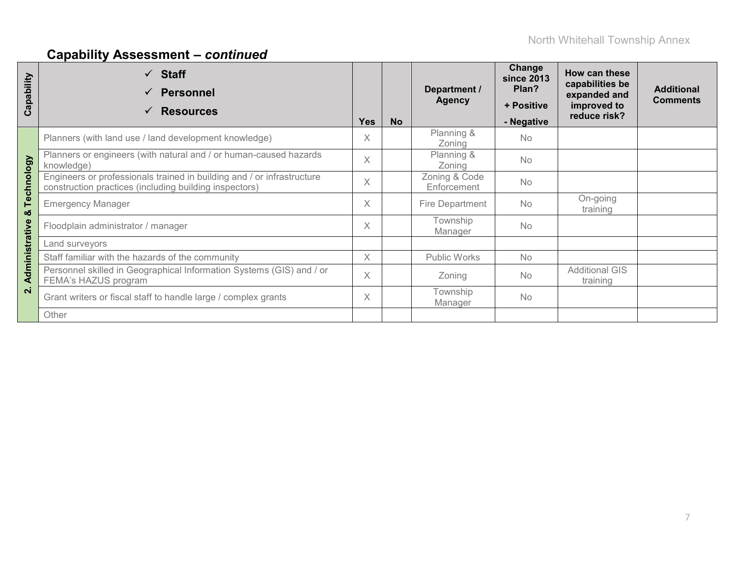| apability<br>ت          | $\checkmark$ Staff<br><b>Personnel</b><br>✓<br><b>Resources</b><br>✓                                                             | <b>Yes</b> | <b>No</b> | Department /<br><b>Agency</b> | Change<br><b>since 2013</b><br>Plan?<br>+ Positive<br>- Negative | How can these<br>capabilities be<br>expanded and<br>improved to<br>reduce risk? | <b>Additional</b><br><b>Comments</b> |
|-------------------------|----------------------------------------------------------------------------------------------------------------------------------|------------|-----------|-------------------------------|------------------------------------------------------------------|---------------------------------------------------------------------------------|--------------------------------------|
|                         | Planners (with land use / land development knowledge)                                                                            | X          |           | Planning &<br>Zoning          | No                                                               |                                                                                 |                                      |
|                         | Planners or engineers (with natural and / or human-caused hazards<br>knowledge)                                                  | X          |           | Planning &<br>Zoning          | <b>No</b>                                                        |                                                                                 |                                      |
| Technology              | Engineers or professionals trained in building and / or infrastructure<br>construction practices (including building inspectors) | $\times$   |           | Zoning & Code<br>Enforcement  | <b>No</b>                                                        |                                                                                 |                                      |
| ×ŏ                      | <b>Emergency Manager</b>                                                                                                         | X          |           | Fire Department               | <b>No</b>                                                        | On-going<br>training                                                            |                                      |
|                         | Floodplain administrator / manager                                                                                               | X          |           | Township<br>Manager           | <b>No</b>                                                        |                                                                                 |                                      |
|                         | Land surveyors                                                                                                                   |            |           |                               |                                                                  |                                                                                 |                                      |
|                         | Staff familiar with the hazards of the community                                                                                 | X          |           | Public Works                  | <b>No</b>                                                        |                                                                                 |                                      |
| Administrative          | Personnel skilled in Geographical Information Systems (GIS) and / or<br>FEMA's HAZUS program                                     | X          |           | Zoning                        | <b>No</b>                                                        | <b>Additional GIS</b><br>training                                               |                                      |
| $\overline{\mathbf{N}}$ | Grant writers or fiscal staff to handle large / complex grants                                                                   | X          |           | Township<br>Manager           | <b>No</b>                                                        |                                                                                 |                                      |
|                         | Other                                                                                                                            |            |           |                               |                                                                  |                                                                                 |                                      |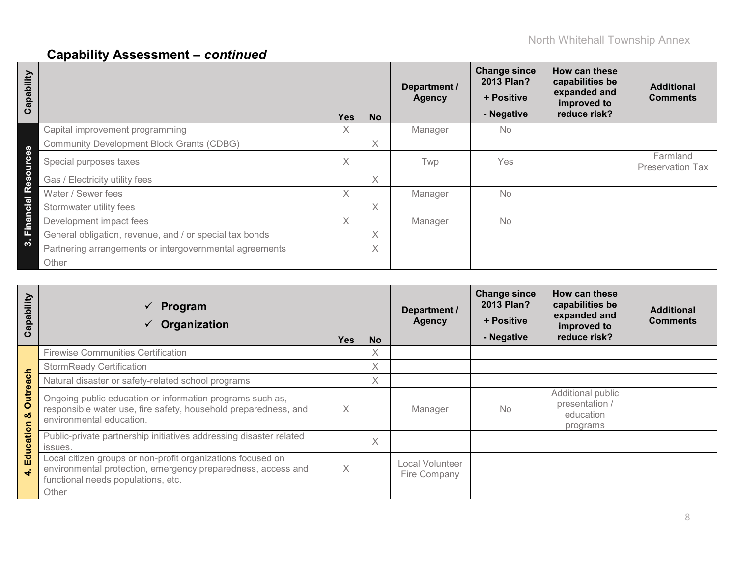| Capability                                            |                                                         | <b>Yes</b> | <b>No</b> | Department /<br><b>Agency</b> | <b>Change since</b><br>2013 Plan?<br>+ Positive<br>- Negative | How can these<br>capabilities be<br>expanded and<br>improved to<br>reduce risk? | <b>Additional</b><br><b>Comments</b> |
|-------------------------------------------------------|---------------------------------------------------------|------------|-----------|-------------------------------|---------------------------------------------------------------|---------------------------------------------------------------------------------|--------------------------------------|
|                                                       | Capital improvement programming                         | X.         |           | Manager                       | <b>No</b>                                                     |                                                                                 |                                      |
| $\boldsymbol{\omega}$                                 | <b>Community Development Block Grants (CDBG)</b>        |            | X         |                               |                                                               |                                                                                 |                                      |
| $\boldsymbol{\omega}$<br>$\mathbf c$<br>Б<br>$\Omega$ | Special purposes taxes                                  | X.         |           | Twp                           | Yes                                                           |                                                                                 | Farmland<br><b>Preservation Tax</b>  |
| ഗ<br>$\boldsymbol{\omega}$                            | Gas / Electricity utility fees                          |            | X         |                               |                                                               |                                                                                 |                                      |
| $\overline{\mathsf{al}}$ R                            | Water / Sewer fees                                      | X.         |           | Manager                       | <b>No</b>                                                     |                                                                                 |                                      |
| <u>៊ូ</u>                                             | Stormwater utility fees                                 |            | X         |                               |                                                               |                                                                                 |                                      |
| $\boldsymbol{\varpi}$<br>$\blacksquare$               | Development impact fees                                 | X.         |           | Manager                       | <b>No</b>                                                     |                                                                                 |                                      |
| iī.                                                   | General obligation, revenue, and / or special tax bonds |            | X         |                               |                                                               |                                                                                 |                                      |
| ∾                                                     | Partnering arrangements or intergovernmental agreements |            | X         |                               |                                                               |                                                                                 |                                      |
|                                                       | Other                                                   |            |           |                               |                                                               |                                                                                 |                                      |

| Capability           | Program<br>$\checkmark$<br>Organization                                                                                                                           | <b>Yes</b> | <b>No</b>         | Department /<br><b>Agency</b>   | <b>Change since</b><br>2013 Plan?<br>+ Positive<br>- Negative | How can these<br>capabilities be<br>expanded and<br>improved to<br>reduce risk? | <b>Additional</b><br><b>Comments</b> |
|----------------------|-------------------------------------------------------------------------------------------------------------------------------------------------------------------|------------|-------------------|---------------------------------|---------------------------------------------------------------|---------------------------------------------------------------------------------|--------------------------------------|
|                      | <b>Firewise Communities Certification</b>                                                                                                                         |            | Χ                 |                                 |                                                               |                                                                                 |                                      |
|                      | <b>StormReady Certification</b>                                                                                                                                   |            | X                 |                                 |                                                               |                                                                                 |                                      |
| 등                    | Natural disaster or safety-related school programs                                                                                                                |            | $\times$          |                                 |                                                               |                                                                                 |                                      |
| <b>Outread</b><br>οö | Ongoing public education or information programs such as,<br>responsible water use, fire safety, household preparedness, and<br>environmental education.          | X          |                   | Manager                         | <b>No</b>                                                     | Additional public<br>presentation /<br>education<br>programs                    |                                      |
| Education            | Public-private partnership initiatives addressing disaster related<br>issues.                                                                                     |            | $\overline{\chi}$ |                                 |                                                               |                                                                                 |                                      |
|                      | Local citizen groups or non-profit organizations focused on<br>environmental protection, emergency preparedness, access and<br>functional needs populations, etc. |            |                   | Local Volunteer<br>Fire Company |                                                               |                                                                                 |                                      |
|                      | Other                                                                                                                                                             |            |                   |                                 |                                                               |                                                                                 |                                      |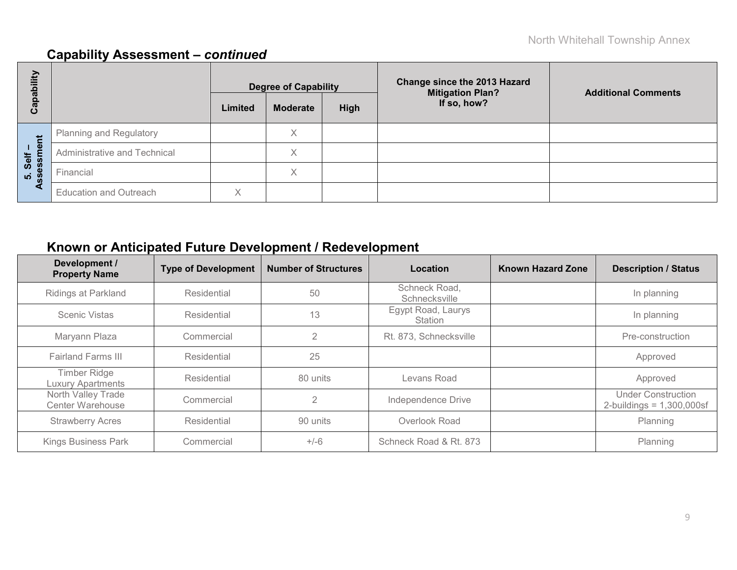| Capability              |                               | <b>Degree of Capability</b> |                 |      | <b>Change since the 2013 Hazard</b><br><b>Mitigation Plan?</b> | <b>Additional Comments</b> |  |
|-------------------------|-------------------------------|-----------------------------|-----------------|------|----------------------------------------------------------------|----------------------------|--|
|                         |                               | Limited                     | <b>Moderate</b> | High | If so, how?                                                    |                            |  |
|                         | Planning and Regulatory       |                             | Χ               |      |                                                                |                            |  |
| ment<br>Self            | Administrative and Technical  |                             | Χ               |      |                                                                |                            |  |
| sessr<br>$\dot{a}$<br>m | Financial                     |                             | X               |      |                                                                |                            |  |
| ∢                       | <b>Education and Outreach</b> | $\checkmark$<br>∧           |                 |      |                                                                |                            |  |

# **Known or Anticipated Future Development / Redevelopment**

| Development /<br><b>Property Name</b>           | <b>Type of Development</b> | <b>Number of Structures</b> | Location                             | <b>Known Hazard Zone</b> | <b>Description / Status</b>                               |
|-------------------------------------------------|----------------------------|-----------------------------|--------------------------------------|--------------------------|-----------------------------------------------------------|
| <b>Ridings at Parkland</b>                      | Residential                | 50                          | Schneck Road,<br>Schnecksville       |                          | In planning                                               |
| Scenic Vistas                                   | Residential                | 13                          | Egypt Road, Laurys<br><b>Station</b> |                          | In planning                                               |
| Maryann Plaza                                   | Commercial                 | $\overline{2}$              | Rt. 873, Schnecksville               |                          | Pre-construction                                          |
| <b>Fairland Farms III</b>                       | Residential                | 25                          |                                      |                          | Approved                                                  |
| <b>Timber Ridge</b><br><b>Luxury Apartments</b> | Residential                | 80 units                    | Levans Road                          |                          | Approved                                                  |
| North Valley Trade<br><b>Center Warehouse</b>   | Commercial                 | 2                           | Independence Drive                   |                          | <b>Under Construction</b><br>2-buildings = $1,300,000$ sf |
| <b>Strawberry Acres</b>                         | Residential                | 90 units                    | Overlook Road                        |                          | Planning                                                  |
| <b>Kings Business Park</b>                      | Commercial                 | $+/-6$                      | Schneck Road & Rt. 873               |                          | Planning                                                  |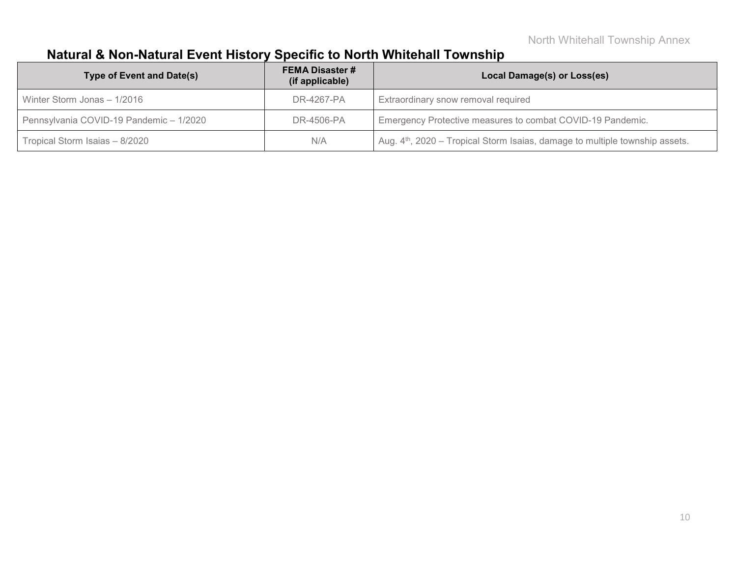# **Natural & Non-Natural Event History Specific to North Whitehall Township**

| <b>Type of Event and Date(s)</b>        | <b>FEMA Disaster #</b><br>(if applicable) | Local Damage(s) or Loss(es)                                                              |
|-----------------------------------------|-------------------------------------------|------------------------------------------------------------------------------------------|
| Winter Storm Jonas - 1/2016             | DR-4267-PA                                | Extraordinary snow removal required                                                      |
| Pennsylvania COVID-19 Pandemic - 1/2020 | DR-4506-PA                                | Emergency Protective measures to combat COVID-19 Pandemic.                               |
| Tropical Storm Isaias – 8/2020          | N/A                                       | Aug. 4 <sup>th</sup> , 2020 – Tropical Storm Isaias, damage to multiple township assets. |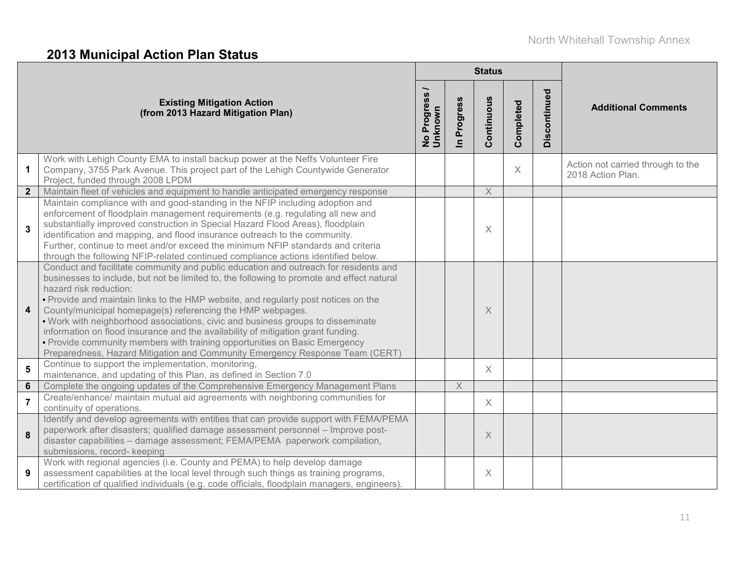# **2013 Municipal Action Plan Status**

|                         |                                                                                                                                                                                                                                                                                                                                                                                                                                                                                                                                                                                                                                                                                                      |                          |                          | <b>Status</b> |           |              |                                                        |
|-------------------------|------------------------------------------------------------------------------------------------------------------------------------------------------------------------------------------------------------------------------------------------------------------------------------------------------------------------------------------------------------------------------------------------------------------------------------------------------------------------------------------------------------------------------------------------------------------------------------------------------------------------------------------------------------------------------------------------------|--------------------------|--------------------------|---------------|-----------|--------------|--------------------------------------------------------|
|                         | <b>Existing Mitigation Action</b><br>(from 2013 Hazard Mitigation Plan)                                                                                                                                                                                                                                                                                                                                                                                                                                                                                                                                                                                                                              | No Progress /<br>Unknown | Progress<br>$\mathbf{a}$ | Continuous    | Completed | Discontinued | <b>Additional Comments</b>                             |
| $\mathbf{1}$            | Work with Lehigh County EMA to install backup power at the Neffs Volunteer Fire<br>Company, 3755 Park Avenue. This project part of the Lehigh Countywide Generator<br>Project, funded through 2008 LPDM                                                                                                                                                                                                                                                                                                                                                                                                                                                                                              |                          |                          |               | $\times$  |              | Action not carried through to the<br>2018 Action Plan. |
| $\overline{2}$          | Maintain fleet of vehicles and equipment to handle anticipated emergency response                                                                                                                                                                                                                                                                                                                                                                                                                                                                                                                                                                                                                    |                          |                          | $\mathsf X$   |           |              |                                                        |
| $\mathbf{3}$            | Maintain compliance with and good-standing in the NFIP including adoption and<br>enforcement of floodplain management requirements (e.g. regulating all new and<br>substantially improved construction in Special Hazard Flood Areas), floodplain<br>identification and mapping, and flood insurance outreach to the community.<br>Further, continue to meet and/or exceed the minimum NFIP standards and criteria<br>through the following NFIP-related continued compliance actions identified below.                                                                                                                                                                                              |                          |                          | $\times$      |           |              |                                                        |
| $\overline{\mathbf{4}}$ | Conduct and facilitate community and public education and outreach for residents and<br>businesses to include, but not be limited to, the following to promote and effect natural<br>hazard risk reduction:<br>. Provide and maintain links to the HMP website, and regularly post notices on the<br>County/municipal homepage(s) referencing the HMP webpages.<br>. Work with neighborhood associations, civic and business groups to disseminate<br>information on flood insurance and the availability of mitigation grant funding.<br>• Provide community members with training opportunities on Basic Emergency<br>Preparedness, Hazard Mitigation and Community Emergency Response Team (CERT) |                          |                          | X             |           |              |                                                        |
| $5\phantom{1}$          | Continue to support the implementation, monitoring,<br>maintenance, and updating of this Plan, as defined in Section 7.0                                                                                                                                                                                                                                                                                                                                                                                                                                                                                                                                                                             |                          |                          | $\times$      |           |              |                                                        |
| $6\phantom{1}$          | Complete the ongoing updates of the Comprehensive Emergency Management Plans                                                                                                                                                                                                                                                                                                                                                                                                                                                                                                                                                                                                                         |                          | $\times$                 |               |           |              |                                                        |
| $\overline{7}$          | Create/enhance/ maintain mutual aid agreements with neighboring communities for<br>continuity of operations.                                                                                                                                                                                                                                                                                                                                                                                                                                                                                                                                                                                         |                          |                          | X             |           |              |                                                        |
| 8                       | Identify and develop agreements with entities that can provide support with FEMA/PEMA<br>paperwork after disasters; qualified damage assessment personnel - Improve post-<br>disaster capabilities - damage assessment; FEMA/PEMA paperwork compilation,<br>submissions, record- keeping                                                                                                                                                                                                                                                                                                                                                                                                             |                          |                          | $\times$      |           |              |                                                        |
| 9                       | Work with regional agencies (i.e. County and PEMA) to help develop damage<br>assessment capabilities at the local level through such things as training programs,<br>certification of qualified individuals (e.g. code officials, floodplain managers, engineers).                                                                                                                                                                                                                                                                                                                                                                                                                                   |                          |                          | X             |           |              |                                                        |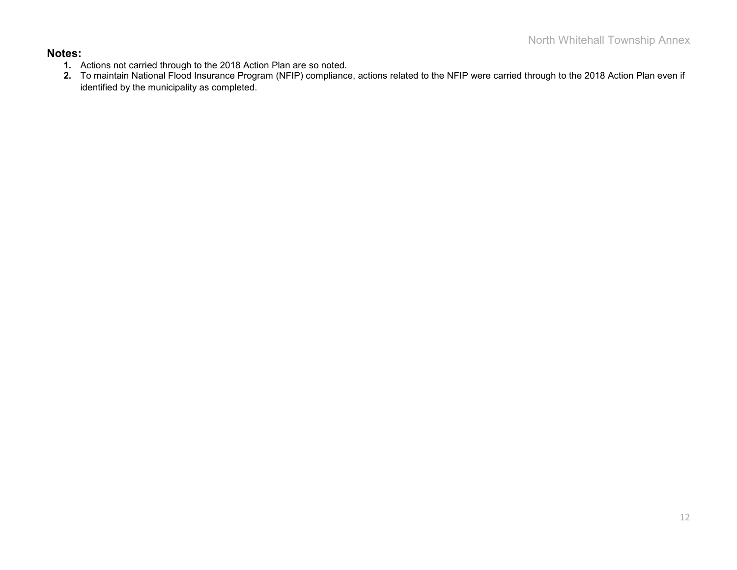#### **Notes:**

- **1.** Actions not carried through to the 2018 Action Plan are so noted.
- **2.** To maintain National Flood Insurance Program (NFIP) compliance, actions related to the NFIP were carried through to the 2018 Action Plan even if identified by the municipality as completed.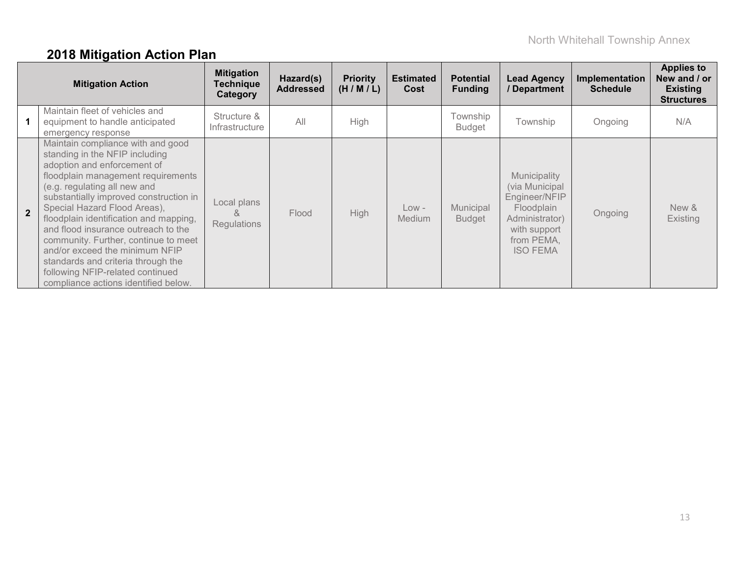# **2018 Mitigation Action Plan**

| <b>Mitigation Action</b> |                                                                                                                                                                                                                                                                                                                                                                                                                                                                                                                                 | <b>Mitigation</b><br>Technique<br>Category | Hazard(s)<br><b>Addressed</b> | <b>Priority</b><br>(H/M/L) | <b>Estimated</b><br>Cost | <b>Potential</b><br><b>Funding</b> | <b>Lead Agency</b><br>/ Department                                                                                               | Implementation<br><b>Schedule</b> | <b>Applies to</b><br>New and / or<br><b>Existing</b><br><b>Structures</b> |
|--------------------------|---------------------------------------------------------------------------------------------------------------------------------------------------------------------------------------------------------------------------------------------------------------------------------------------------------------------------------------------------------------------------------------------------------------------------------------------------------------------------------------------------------------------------------|--------------------------------------------|-------------------------------|----------------------------|--------------------------|------------------------------------|----------------------------------------------------------------------------------------------------------------------------------|-----------------------------------|---------------------------------------------------------------------------|
|                          | Maintain fleet of vehicles and<br>equipment to handle anticipated<br>emergency response                                                                                                                                                                                                                                                                                                                                                                                                                                         | Structure &<br>Infrastructure              | All                           | High                       |                          | Township<br><b>Budget</b>          | Township                                                                                                                         | Ongoing                           | N/A                                                                       |
| $\overline{2}$           | Maintain compliance with and good<br>standing in the NFIP including<br>adoption and enforcement of<br>floodplain management requirements<br>(e.g. regulating all new and<br>substantially improved construction in<br>Special Hazard Flood Areas),<br>floodplain identification and mapping,<br>and flood insurance outreach to the<br>community. Further, continue to meet<br>and/or exceed the minimum NFIP<br>standards and criteria through the<br>following NFIP-related continued<br>compliance actions identified below. | Local plans<br>8<br>Regulations            | Flood                         | High                       | $Low -$<br>Medium        | Municipal<br><b>Budget</b>         | Municipality<br>(via Municipal<br>Engineer/NFIP<br>Floodplain<br>Administrator)<br>with support<br>from PEMA,<br><b>ISO FEMA</b> | Ongoing                           | New &<br><b>Existing</b>                                                  |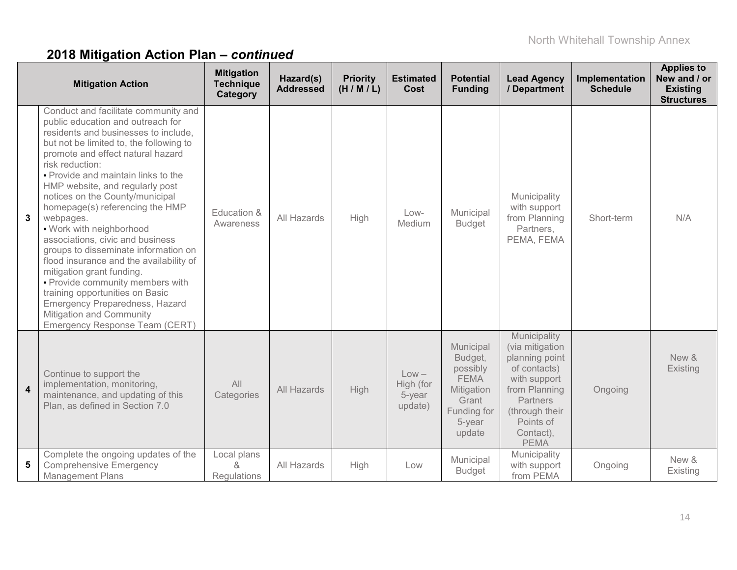# **2018 Mitigation Action Plan –** *continued*

|                  | <b>Mitigation Action</b>                                                                                                                                                                                                                                                                                                                                                                                                                                                                                                                                                                                                                                                                                                                        | <b>Mitigation</b><br><b>Technique</b><br>Category | Hazard(s)<br><b>Addressed</b> | <b>Priority</b><br>(H/M/L) | <b>Estimated</b><br>Cost                  | <b>Potential</b><br><b>Funding</b>                                                                        | <b>Lead Agency</b><br>/ Department                                                                                                                                        | Implementation<br><b>Schedule</b> | <b>Applies to</b><br>New and / or<br><b>Existing</b><br><b>Structures</b> |
|------------------|-------------------------------------------------------------------------------------------------------------------------------------------------------------------------------------------------------------------------------------------------------------------------------------------------------------------------------------------------------------------------------------------------------------------------------------------------------------------------------------------------------------------------------------------------------------------------------------------------------------------------------------------------------------------------------------------------------------------------------------------------|---------------------------------------------------|-------------------------------|----------------------------|-------------------------------------------|-----------------------------------------------------------------------------------------------------------|---------------------------------------------------------------------------------------------------------------------------------------------------------------------------|-----------------------------------|---------------------------------------------------------------------------|
| $\mathbf{3}$     | Conduct and facilitate community and<br>public education and outreach for<br>residents and businesses to include.<br>but not be limited to, the following to<br>promote and effect natural hazard<br>risk reduction:<br>• Provide and maintain links to the<br>HMP website, and regularly post<br>notices on the County/municipal<br>homepage(s) referencing the HMP<br>webpages.<br>• Work with neighborhood<br>associations, civic and business<br>groups to disseminate information on<br>flood insurance and the availability of<br>mitigation grant funding.<br>• Provide community members with<br>training opportunities on Basic<br><b>Emergency Preparedness, Hazard</b><br>Mitigation and Community<br>Emergency Response Team (CERT) | Education &<br>Awareness                          | All Hazards                   | High                       | Low-<br>Medium                            | Municipal<br><b>Budget</b>                                                                                | Municipality<br>with support<br>from Planning<br>Partners,<br>PEMA, FEMA                                                                                                  | Short-term                        | N/A                                                                       |
| $\boldsymbol{4}$ | Continue to support the<br>implementation, monitoring,<br>maintenance, and updating of this<br>Plan, as defined in Section 7.0                                                                                                                                                                                                                                                                                                                                                                                                                                                                                                                                                                                                                  | All<br>Categories                                 | All Hazards                   | <b>High</b>                | $Low -$<br>High (for<br>5-year<br>update) | Municipal<br>Budget,<br>possibly<br><b>FEMA</b><br>Mitigation<br>Grant<br>Funding for<br>5-year<br>update | Municipality<br>(via mitigation<br>planning point<br>of contacts)<br>with support<br>from Planning<br>Partners<br>(through their<br>Points of<br>Contact),<br><b>PEMA</b> | Ongoing                           | New &<br>Existing                                                         |
| 5                | Complete the ongoing updates of the<br><b>Comprehensive Emergency</b><br><b>Management Plans</b>                                                                                                                                                                                                                                                                                                                                                                                                                                                                                                                                                                                                                                                | Local plans<br>$\alpha$<br><b>Requlations</b>     | All Hazards                   | High                       | Low                                       | Municipal<br><b>Budget</b>                                                                                | Municipality<br>with support<br>from PEMA                                                                                                                                 | Ongoing                           | New &<br>Existing                                                         |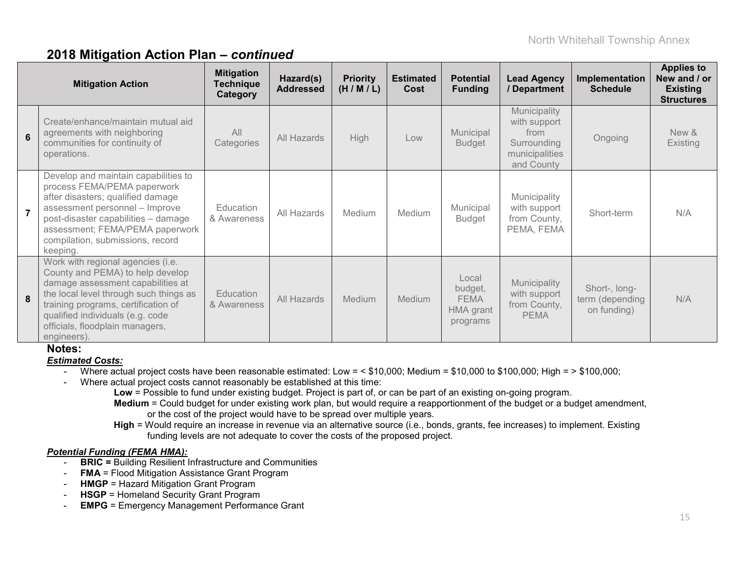### **2018 Mitigation Action Plan –** *continued*

| <b>Mitigation Action</b> |                                                                                                                                                                                                                                                                                   | <b>Mitigation</b><br><b>Technique</b><br>Category | Hazard(s)<br><b>Addressed</b> | <b>Priority</b><br>(H/M/L) | <b>Estimated</b><br>Cost | <b>Potential</b><br><b>Funding</b>                       | <b>Lead Agency</b><br>/Department                                                   | Implementation<br><b>Schedule</b>               | <b>Applies to</b><br>New and / or<br><b>Existing</b><br><b>Structures</b> |
|--------------------------|-----------------------------------------------------------------------------------------------------------------------------------------------------------------------------------------------------------------------------------------------------------------------------------|---------------------------------------------------|-------------------------------|----------------------------|--------------------------|----------------------------------------------------------|-------------------------------------------------------------------------------------|-------------------------------------------------|---------------------------------------------------------------------------|
| 6                        | Create/enhance/maintain mutual aid<br>agreements with neighboring<br>communities for continuity of<br>operations.                                                                                                                                                                 | All<br>Categories                                 | All Hazards                   | <b>High</b>                | Low                      | Municipal<br><b>Budget</b>                               | Municipality<br>with support<br>from<br>Surrounding<br>municipalities<br>and County | Ongoing                                         | New &<br>Existing                                                         |
|                          | Develop and maintain capabilities to<br>process FEMA/PEMA paperwork<br>after disasters; qualified damage<br>assessment personnel - Improve<br>post-disaster capabilities - damage<br>assessment; FEMA/PEMA paperwork<br>compilation, submissions, record<br>keeping.              | Education<br>& Awareness                          | All Hazards                   | Medium                     | Medium                   | Municipal<br><b>Budget</b>                               | Municipality<br>with support<br>from County,<br>PEMA, FEMA                          | Short-term                                      | N/A                                                                       |
| 8                        | Work with regional agencies (i.e.<br>County and PEMA) to help develop<br>damage assessment capabilities at<br>the local level through such things as<br>training programs, certification of<br>qualified individuals (e.g. code<br>officials, floodplain managers,<br>engineers). | Education<br>& Awareness                          | All Hazards                   | Medium                     | Medium                   | Local<br>budget,<br><b>FEMA</b><br>HMA grant<br>programs | Municipality<br>with support<br>from County,<br><b>PEMA</b>                         | Short-, long-<br>term (depending<br>on funding) | N/A                                                                       |

### **Notes:**

#### *Estimated Costs:*

- Where actual project costs have been reasonable estimated: Low =  $\leq$  \$10,000; Medium = \$10,000 to \$100,000; High =  $>$  \$100,000;
- Where actual project costs cannot reasonably be established at this time:
	- **Low** = Possible to fund under existing budget. Project is part of, or can be part of an existing on-going program.
	- **Medium** = Could budget for under existing work plan, but would require a reapportionment of the budget or a budget amendment, or the cost of the project would have to be spread over multiple years.
	- **High** = Would require an increase in revenue via an alternative source (i.e., bonds, grants, fee increases) to implement. Existing funding levels are not adequate to cover the costs of the proposed project.

#### *Potential Funding (FEMA HMA):*

- **BRIC =** Building Resilient Infrastructure and Communities
- **FMA** = Flood Mitigation Assistance Grant Program
- **HMGP** = Hazard Mitigation Grant Program
- **HSGP** = Homeland Security Grant Program
- **EMPG** = Emergency Management Performance Grant